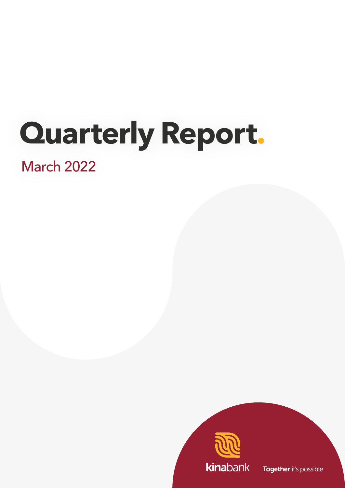# **Quarterly Report.**

# March 2022



Together it's possible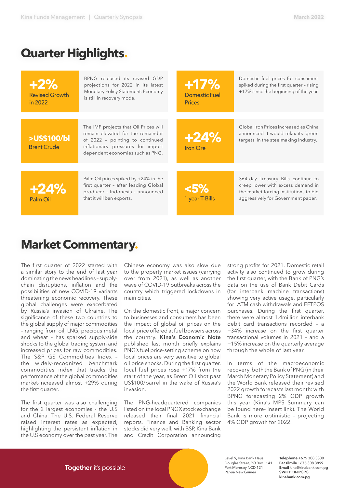## **Quarter Highlights.**

| <b>H2%</b><br><b>Revised Growth</b><br>in 2022 | BPNG released its revised GDP<br>projections for 2022 in its latest<br>Monetary Policy Statement. Economy<br>is still in recovery mode.                                                | $+17%$<br><b>Domestic Fuel</b><br><b>Prices</b> | Domestic fuel prices for consumers<br>spiked during the first quarter - rising<br>+17% since the beginning of the year.                                 |
|------------------------------------------------|----------------------------------------------------------------------------------------------------------------------------------------------------------------------------------------|-------------------------------------------------|---------------------------------------------------------------------------------------------------------------------------------------------------------|
|                                                |                                                                                                                                                                                        |                                                 |                                                                                                                                                         |
| >US\$100/bl<br><b>Brent Crude</b>              | The IMF projects that Oil Prices will<br>remain elevated for the remainder<br>of 2022 - pointing to continued<br>inflationary pressures for import<br>dependent economies such as PNG. | $+24%$<br><b>Iron Ore</b>                       | Global Iron Prices increased as China<br>announced it would relax its 'green<br>targets' in the steelmaking industry.                                   |
|                                                |                                                                                                                                                                                        |                                                 |                                                                                                                                                         |
| $+24%$<br>Palm Oil                             | Palm Oil prices spiked by +24% in the<br>first quarter - after leading Global<br>producer - Indonesia - announced<br>that it will ban exports.                                         | <5%<br>1 year T-Bills                           | 364-day Treasury Bills continue to<br>creep lower with excess demand in<br>the market forcing institutions to bid<br>aggressively for Government paper. |

# **Market Commentary.**

The first quarter of 2022 started with a similar story to the end of last year dominating the news headlines – supplychain disruptions, inflation and the possibilities of new COVID-19 variants threatening economic recovery. These global challenges were exacerbated by Russia's invasion of Ukraine. The significance of these two countries to the global supply of major commodities – ranging from oil, LNG, precious metal and wheat – has sparked supply-side shocks to the global trading system and increased prices for raw commodities. The S&P GS Commodities Index – the widely-recognized benchmark commodities index that tracks the performance of the global commodities market-increased almost +29% during the first quarter.

The first quarter was also challenging for the 2 largest economies - the U.S and China. The U.S. Federal Reserve raised interest rates as expected, highlighting the persistent inflation in the U.S economy over the past year. The Chinese economy was also slow due to the property market issues (carrying over from 2021), as well as another wave of COVID-19 outbreaks across the country which triggered lockdowns in main cities.

On the domestic front, a major concern to businesses and consumers has been the impact of global oil prices on the local price offered at fuel bowsers across the country. **[Kina's Economic Note](https://www.kinabank.com.pg/wp-content/uploads/2022/03/one_page_economic_update_3.pdf)**  published last month briefly explains PNG's fuel price-setting scheme on how local prices are very sensitive to global oil price shocks. During the first quarter, local fuel prices rose +17% from the start of the year, as Brent Oil shot past US\$100/barrel in the wake of Russia's invasion.

The PNG-headquartered companies listed on the local PNGX stock exchange released their final 2021 financial reports. Finance and Banking sector stocks did very well; with BSP, Kina Bank and Credit Corporation announcing strong profits for 2021. Domestic retail activity also continued to grow during the first quarter, with the Bank of PNG's data on the use of Bank Debit Cards (for interbank machine transactions) showing very active usage, particularly for ATM cash withdrawals and EFTPOS purchases. During the first quarter, there were almost 1.4million interbank debit card transactions recorded – a +34% increase on the first quarter transactional volumes in 2021 – and a +15% increase on the quarterly average through the whole of last year.

In terms of the macroeconomic recovery, both the Bank of PNG (in their March Monetary Policy Statement) and the World Bank released their revised 2022 growth forecasts last month: with BPNG forecasting 2% GDP growth this year (Kina's MPS Summary can be found here- insert link). The World Bank is more optimistic – projecting 4% GDP growth for 2022.

**Together** it's possible

Level 9, Kina Bank Haus Douglas Street, PO Box 1141 Port Moresby NCD 121 Papua New Guinea

**Telephone** +675 308 3800 **Facsilmile** +675 308 3899 **Email** kina@kinabank.com.pg **SWIFT** KINIPGPG **kinabank.com.pg**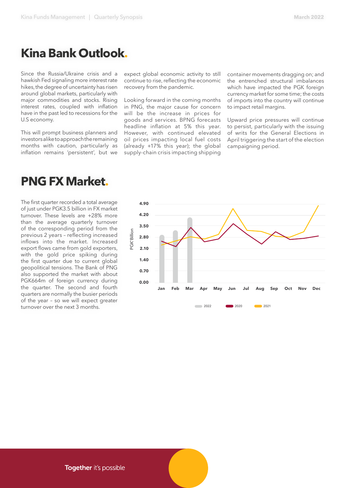### **Kina Bank Outlook.**

Since the Russia/Ukraine crisis and a hawkish Fed signaling more interest rate hikes, the degree of uncertainty has risen around global markets, particularly with major commodities and stocks. Rising interest rates, coupled with inflation have in the past led to recessions for the U.S economy.

This will prompt business planners and investors alike to approach the remaining months with caution, particularly as inflation remains 'persistent', but we

### **PNG FX Market.**

The first quarter recorded a total average of just under PGK3.5 billion in FX market turnover. These levels are +28% more than the average quarterly turnover of the corresponding period from the previous 2 years – reflecting increased inflows into the market. Increased export flows came from gold exporters, with the gold price spiking during the first quarter due to current global geopolitical tensions. The Bank of PNG also supported the market with about PGK664m of foreign currency during the quarter. The second and fourth quarters are normally the busier periods of the year – so we will expect greater turnover over the next 3 months.

expect global economic activity to still continue to rise, reflecting the economic recovery from the pandemic.

Looking forward in the coming months in PNG, the major cause for concern will be the increase in prices for goods and services. BPNG forecasts headline inflation at 5% this year. However, with continued elevated oil prices impacting local fuel costs (already +17% this year); the global supply-chain crisis impacting shipping container movements dragging on; and the entrenched structural imbalances which have impacted the PGK foreign currency market for some time; the costs of imports into the country will continue to impact retail margins.

Upward price pressures will continue to persist, particularly with the issuing of writs for the General Elections in April triggering the start of the election campaigning period.

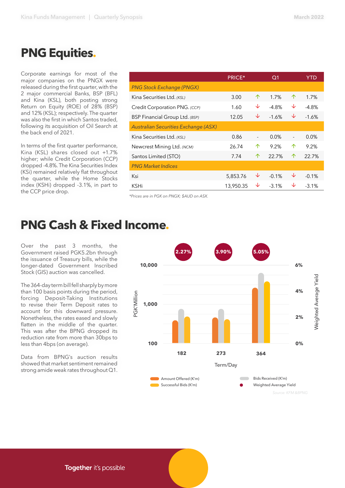# **PNG Equities.**

Corporate earnings for most of the major companies on the PNGX were released during the first quarter, with the 2 major commercial Banks, BSP (BFL) and Kina (KSL), both posting strong Return on Equity (ROE) of 28% (BSP) and 12% (KSL); respectively. The quarter was also the first in which Santos traded, following its acquisition of Oil Search at the back end of 2021.

In terms of the first quarter performance, Kina (KSL) shares closed out +1.7% higher; while Credit Corporation (CCP) dropped -4.8%. The Kina Securities Index (KSi) remained relatively flat throughout the quarter, while the Home Stocks index (KSHi) dropped -3.1%, in part to the CCP price drop.

|                                             | <b>PRICE*</b> |                          | Q1       |                              | YTD     |
|---------------------------------------------|---------------|--------------------------|----------|------------------------------|---------|
| <b>PNG Stock Exchange (PNGX)</b>            |               |                          |          |                              |         |
| Kina Securities Ltd. (KSL)                  | 3.00          | 个                        | 1.7%     | ↑                            | 1.7%    |
| Credit Corporation PNG. (CCP)               | 1.60          | ↓                        | $-4.8%$  | ↓                            | $-4.8%$ |
| BSP Financial Group Ltd. (BSP)              | 12.05         | ↓                        | $-1.6%$  | ↓                            | $-1.6%$ |
| <b>Australian Securities Exchange (ASX)</b> |               |                          |          |                              |         |
| Kina Securities Ltd. (KSL)                  | 0.86          | $\overline{\phantom{a}}$ | $0.0\%$  | $\qquad \qquad \blacksquare$ | 0.0%    |
| Newcrest Mining Ltd. (NCM)                  | 26.74         | ↑                        | 9.2%     | ↑                            | 9.2%    |
| Santos Limited (STO)                        | 7.74          | ↑                        | 22.7%    | 个                            | 22.7%   |
| <b>PNG Market Indices</b>                   |               |                          |          |                              |         |
| Ksi                                         | 5,853.76      | ↓                        | $-0.1%$  | V                            | $-0.1%$ |
| KSHi                                        | 13,950.35     | ↓                        | $-3.1\%$ | ↓                            | $-3.1%$ |

*\*Prices are in PGK on PNGX; \$AUD on ASX.*

## **PNG Cash & Fixed Income.**

Over the past 3 months, the Government raised PGK5.2bn through the issuance of Treasury bills, while the longer-dated Government Inscribed Stock (GIS) auction was cancelled.

The 364-day term bill fell sharply by more than 100 basis points during the period, forcing Deposit-Taking Institutions to revise their Term Deposit rates to account for this downward pressure. Nonetheless, the rates eased and slowly flatten in the middle of the quarter. This was after the BPNG dropped its reduction rate from more than 30bps to less than 4bps (on average).

Data from BPNG's auction results showed that market sentiment remained strong amide weak rates throughout Q1.



Together it's possible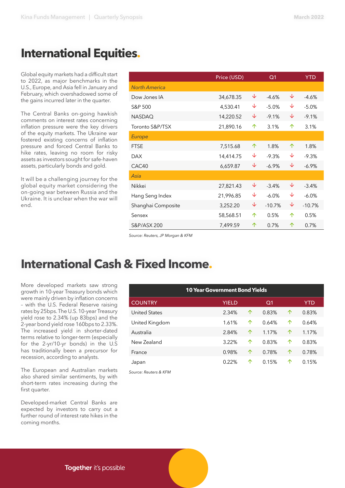# **International Equities.**

Global equity markets had a difficult start to 2022, as major benchmarks in the U.S., Europe, and Asia fell in January and February, which overshadowed some of the gains incurred later in the quarter.

The Central Banks on-going hawkish comments on interest rates concerning inflation pressure were the key drivers of the equity markets. The Ukraine war fostered existing concerns of inflation pressure and forced Central Banks to hike rates, leaving no room for risky assets as investors sought for safe-haven assets, particularly bonds and gold.

It will be a challenging journey for the global equity market considering the on-going war between Russia and the Ukraine. It is unclear when the war will end.

|                      | Price (USD) |   | Q <sub>1</sub> |   | <b>YTD</b> |
|----------------------|-------------|---|----------------|---|------------|
| <b>North America</b> |             |   |                |   |            |
| Dow Jones IA         | 34,678.35   | ↓ | $-4.6%$        | ↓ | $-4.6%$    |
| S&P 500              | 4,530.41    | ↓ | $-5.0%$        | ↓ | $-5.0%$    |
| <b>NASDAQ</b>        | 14,220.52   | ↓ | $-9.1%$        | ↓ | $-9.1%$    |
| Toronto S&P/TSX      | 21,890.16   | 个 | 3.1%           | 个 | 3.1%       |
| <b>Europe</b>        |             |   |                |   |            |
| <b>FTSE</b>          | 7,515.68    | 个 | 1.8%           | 个 | 1.8%       |
| <b>DAX</b>           | 14,414.75   | ↓ | $-9.3%$        | ↓ | $-9.3%$    |
| CAC40                | 6,659.87    | ↓ | $-6.9\%$       | ↓ | $-6.9%$    |
| Asia                 |             |   |                |   |            |
| Nikkei               | 27,821.43   | ↓ | $-3.4%$        | ↓ | $-3.4%$    |
| Hang Seng Index      | 21,996.85   | ↓ | $-6.0\%$       | ↓ | $-6.0\%$   |
| Shanghai Composite   | 3,252.20    | ↓ | $-10.7%$       | ↓ | $-10.7%$   |
| Sensex               | 58,568.51   | 个 | 0.5%           | 个 | 0.5%       |
| S&P/ASX 200          | 7,499.59    | 个 | 0.7%           | ↑ | 0.7%       |

*Source: Reuters, JP Morgan & KFM* 

# **International Cash & Fixed Income.**

More developed markets saw strong growth in 10-year Treasury bonds which were mainly driven by inflation concerns – with the U.S. Federal Reserve raising rates by 25bps. The U.S. 10-year Treasury yield rose to 2.34% (up 83bps) and the 2-year bond yield rose 160bps to 2.33%. The increased yield in shorter-dated terms relative to longer-term (especially for the 2-yr/10-yr bonds) in the U.S has traditionally been a precursor for recession, according to analysts.

The European and Australian markets also shared similar sentiments, by with short-term rates increasing during the first quarter.

Developed-market Central Banks are expected by investors to carry out a further round of interest rate hikes in the coming months.

| <b>10 Year Government Bond Yields</b> |              |   |            |   |            |
|---------------------------------------|--------------|---|------------|---|------------|
| <b>COUNTRY</b>                        | <b>YIELD</b> |   | $\Omega$ 1 |   | <b>YTD</b> |
| <b>United States</b>                  | 2.34%        | ↑ | 0.83%      | 个 | 0.83%      |
| United Kingdom                        | 1.61%        | ↑ | 0.64%      | ↑ | 0.64%      |
| Australia                             | 2.84%        | 个 | 1.17%      | 个 | 1.17%      |
| New Zealand                           | 3.22%        | 个 | 0.83%      | ↑ | 0.83%      |
| France                                | 0.98%        | 个 | 0.78%      | 个 | 0.78%      |
| Japan                                 | 0.22%        | ↑ | 0.15%      | ↑ | 0.15%      |

*Source: Reuters & KFM*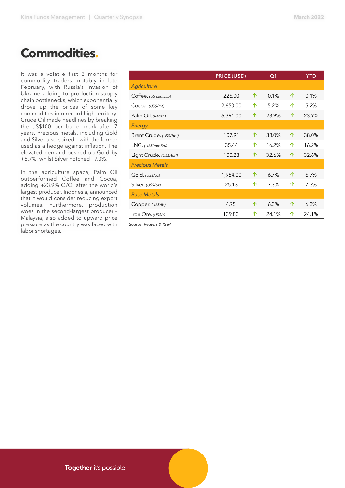# **Commodities .**

It was a volatile first 3 months for commodity traders, notably in late February, with Russia's invasion of Ukraine adding to production-supply chain bottlenecks, which exponentially drove up the prices of some key commodities into record high territory. Crude Oil made headlines by breaking the US\$100 per barrel mark after 7 years. Precious metals, including Gold and Silver also spiked – with the former used as a hedge against inflation. The elevated demand pushed up Gold by +6.7%, whilst Silver notched +7.3%.

In the agriculture space, Palm Oil outperformed Coffee and Cocoa, adding +23.9% Q/Q, after the world's largest producer, Indonesia, announced that it would consider reducing export volumes. Furthermore, production woes in the second-largest producer – Malaysia, also added to upward price pressure as the country was faced with labor shortages.

|                         | PRICE (USD) |   | Q <sub>1</sub> |   | <b>YTD</b> |
|-------------------------|-------------|---|----------------|---|------------|
| Agriculture             |             |   |                |   |            |
| Coffee. (US cents/lb)   | 226.00      | 个 | 0.1%           | 个 | 0.1%       |
| Cocoa. (USS/mt)         | 2,650.00    | 个 | 5.2%           | 个 | 5.2%       |
| Palm Oil. (RM/tn)       | 6,391.00    | 个 | 23.9%          | 个 | 23.9%      |
| Energy                  |             |   |                |   |            |
| Brent Crude. (US\$/bbl) | 107.91      | 个 | 38.0%          | 个 | 38.0%      |
| LNG. (USS/mm Btu)       | 35.44       | 个 | 16.2%          | 个 | 16.2%      |
| Light Crude. (US\$/bbl) | 100.28      | 个 | 32.6%          | 个 | 32.6%      |
| <b>Precious Metals</b>  |             |   |                |   |            |
| Gold. (US\$/oz)         | 1,954.00    | 个 | 6.7%           | 个 | 6.7%       |
| Silver. (US\$/oz)       | 25.13       | 个 | 7.3%           | 个 | 7.3%       |
| <b>Base Metals</b>      |             |   |                |   |            |
| Copper. (US\$/lb)       | 4.75        | 个 | 6.3%           | 个 | 6.3%       |
| Iron Ore. (US\$/t)      | 139.83      | 个 | 24.1%          | ↑ | 24.1%      |

*Source: Reuters & KFM*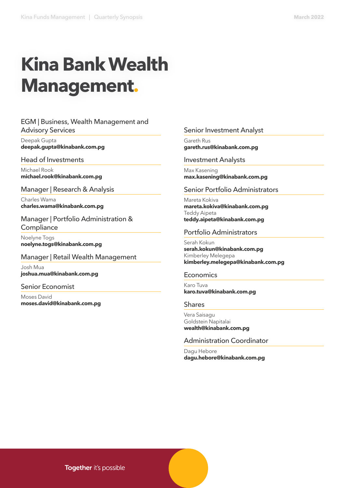# **Kina Bank Wealth Management.**

#### EGM | Business, Wealth Management and Advisory Services

Deepak Gupta **deepak.gupta@kinabank.com.pg** 

#### Head of Investments

Michael Rook **michael.rook@kinabank.com.pg**

Manager | Research & Analysis

Charles Wama **charles.wama@kinabank.com.pg**

Manager | Portfolio Administration & **Compliance** 

Noelyne Togs **noelyne.togs@kinabank.com.pg**

#### Manager | Retail Wealth Management

Josh Mua **joshua.mua@kinabank.com.pg**

#### Senior Economist

Moses David **moses.david@kinabank.com.pg**

#### Senior Investment Analyst

Gareth Rus **gareth.rus@kinabank.com.pg**

#### Investment Analysts

Max Kasening **max.kasening@kinabank.com.pg**

#### Senior Portfolio Administrators

Mareta Kokiva **mareta.kokiva@kinabank.com.pg**  Teddy Aipeta **teddy.aipeta@kinabank.com.pg**

#### Portfolio Administrators

Serah Kokun **serah.kokun@kinabank.com.pg**  Kimberley Melegepa **kimberley.melegepa@kinabank.com.pg**

#### Economics

Karo Tuva **karo.tuva@kinabank.com.pg**

#### Shares

Vera Saisagu Goldstein Napitalai **wealth@kinabank.com.pg**

#### Administration Coordinator

Dagu Hebore **dagu.hebore@kinabank.com.pg**